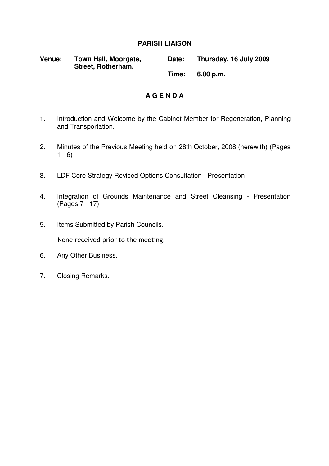### **PARISH LIAISON**

| Venue: | Town Hall, Moorgate,<br>Street, Rotherham. | Date: | Thursday, 16 July 2009 |
|--------|--------------------------------------------|-------|------------------------|
|        |                                            | Time: | 6.00 p.m.              |

### **A G E N D A**

- 1. Introduction and Welcome by the Cabinet Member for Regeneration, Planning and Transportation.
- 2. Minutes of the Previous Meeting held on 28th October, 2008 (herewith) (Pages  $1 - 6$
- 3. LDF Core Strategy Revised Options Consultation Presentation
- 4. Integration of Grounds Maintenance and Street Cleansing Presentation (Pages 7 - 17)
- 5. Items Submitted by Parish Councils. None received prior to the meeting.
- 6. Any Other Business.
- 7. Closing Remarks.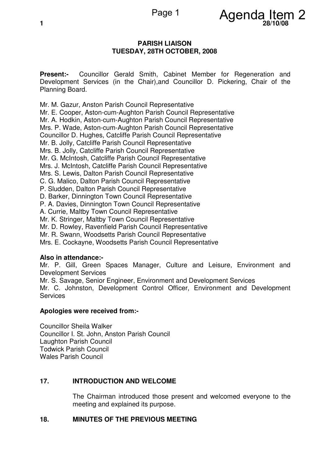

#### **PARISH LIAISON TUESDAY, 28TH OCTOBER, 2008**

**Present:-** Councillor Gerald Smith, Cabinet Member for Regeneration and Development Services (in the Chair),and Councillor D. Pickering, Chair of the Planning Board.

Mr. M. Gazur, Anston Parish Council Representative Mr. E. Cooper, Aston-cum-Aughton Parish Council Representative Mr. A. Hodkin, Aston-cum-Aughton Parish Council Representative Mrs. P. Wade, Aston-cum-Aughton Parish Council Representative Councillor D. Hughes, Catcliffe Parish Council Representative Mr. B. Jolly, Catcliffe Parish Council Representative Mrs. B. Jolly, Catcliffe Parish Council Representative Mr. G. McIntosh, Catcliffe Parish Council Representative Mrs. J. McIntosh, Catcliffe Parish Council Representative Mrs. S. Lewis, Dalton Parish Council Representative C. G. Malico, Dalton Parish Council Representative P. Sludden, Dalton Parish Council Representative D. Barker, Dinnington Town Council Representative P. A. Davies, Dinnington Town Council Representative A. Currie, Maltby Town Council Representative Mr. K. Stringer, Maltby Town Council Representative Mr. D. Rowley, Ravenfield Parish Council Representative Mr. R. Swann, Woodsetts Parish Council Representative Mrs. E. Cockayne, Woodsetts Parish Council Representative

### **Also in attendance:-**

Mr. P. Gill, Green Spaces Manager, Culture and Leisure, Environment and Development Services

Mr. S. Savage, Senior Engineer, Environment and Development Services

Mr. C. Johnston, Development Control Officer, Environment and Development **Services** 

### **Apologies were received from:-**

Councillor Sheila Walker Councillor I. St. John, Anston Parish Council Laughton Parish Council Todwick Parish Council Wales Parish Council

### **17. INTRODUCTION AND WELCOME**

 The Chairman introduced those present and welcomed everyone to the meeting and explained its purpose.

### **18. MINUTES OF THE PREVIOUS MEETING**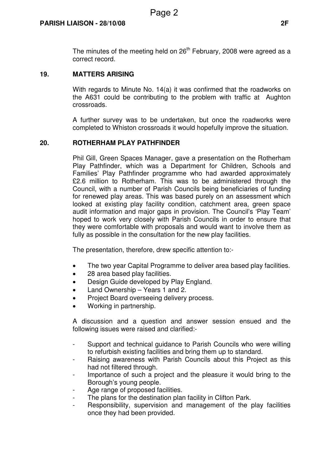The minutes of the meeting held on  $26<sup>th</sup>$  February, 2008 were agreed as a correct record.

#### **19. MATTERS ARISING**

 With regards to Minute No. 14(a) it was confirmed that the roadworks on the A631 could be contributing to the problem with traffic at Aughton crossroads.

A further survey was to be undertaken, but once the roadworks were completed to Whiston crossroads it would hopefully improve the situation.

### **20. ROTHERHAM PLAY PATHFINDER**

 Phil Gill, Green Spaces Manager, gave a presentation on the Rotherham Play Pathfinder, which was a Department for Children, Schools and Families' Play Pathfinder programme who had awarded approximately £2.6 million to Rotherham. This was to be administered through the Council, with a number of Parish Councils being beneficiaries of funding for renewed play areas. This was based purely on an assessment which looked at existing play facility condition, catchment area, green space audit information and major gaps in provision. The Council's 'Play Team' hoped to work very closely with Parish Councils in order to ensure that they were comfortable with proposals and would want to involve them as fully as possible in the consultation for the new play facilities.

The presentation, therefore, drew specific attention to:-

- The two year Capital Programme to deliver area based play facilities.
- 28 area based play facilities.
- Design Guide developed by Play England.
- Land Ownership Years 1 and 2.
- Project Board overseeing delivery process.
- Working in partnership.

A discussion and a question and answer session ensued and the following issues were raised and clarified:-

- Support and technical guidance to Parish Councils who were willing to refurbish existing facilities and bring them up to standard.
- Raising awareness with Parish Councils about this Project as this had not filtered through.
- Importance of such a project and the pleasure it would bring to the Borough's young people.
- Age range of proposed facilities.
- The plans for the destination plan facility in Clifton Park.
- Responsibility, supervision and management of the play facilities once they had been provided.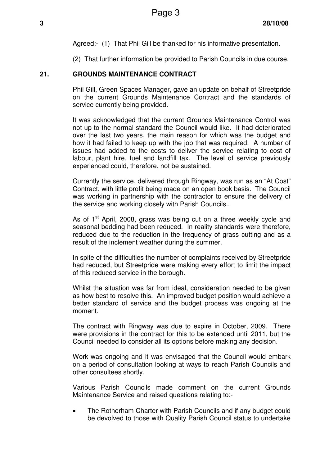Agreed:- (1) That Phil Gill be thanked for his informative presentation.

(2) That further information be provided to Parish Councils in due course.

### **21. GROUNDS MAINTENANCE CONTRACT**

 Phil Gill, Green Spaces Manager, gave an update on behalf of Streetpride on the current Grounds Maintenance Contract and the standards of service currently being provided.

It was acknowledged that the current Grounds Maintenance Control was not up to the normal standard the Council would like. It had deteriorated over the last two years, the main reason for which was the budget and how it had failed to keep up with the job that was required. A number of issues had added to the costs to deliver the service relating to cost of labour, plant hire, fuel and landfill tax. The level of service previously experienced could, therefore, not be sustained.

Currently the service, delivered through Ringway, was run as an "At Cost" Contract, with little profit being made on an open book basis. The Council was working in partnership with the contractor to ensure the delivery of the service and working closely with Parish Councils..

As of 1<sup>st</sup> April, 2008, grass was being cut on a three weekly cycle and seasonal bedding had been reduced. In reality standards were therefore, reduced due to the reduction in the frequency of grass cutting and as a result of the inclement weather during the summer.

In spite of the difficulties the number of complaints received by Streetpride had reduced, but Streetpride were making every effort to limit the impact of this reduced service in the borough.

Whilst the situation was far from ideal, consideration needed to be given as how best to resolve this. An improved budget position would achieve a better standard of service and the budget process was ongoing at the moment.

The contract with Ringway was due to expire in October, 2009. There were provisions in the contract for this to be extended until 2011, but the Council needed to consider all its options before making any decision.

Work was ongoing and it was envisaged that the Council would embark on a period of consultation looking at ways to reach Parish Councils and other consultees shortly.

Various Parish Councils made comment on the current Grounds Maintenance Service and raised questions relating to:-

• The Rotherham Charter with Parish Councils and if any budget could be devolved to those with Quality Parish Council status to undertake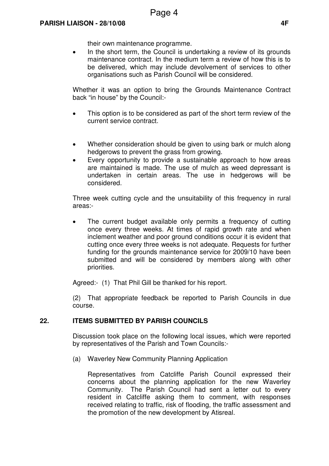their own maintenance programme.

• In the short term, the Council is undertaking a review of its grounds maintenance contract. In the medium term a review of how this is to be delivered, which may include devolvement of services to other organisations such as Parish Council will be considered.

Whether it was an option to bring the Grounds Maintenance Contract back "in house" by the Council:-

- This option is to be considered as part of the short term review of the current service contract.
- Whether consideration should be given to using bark or mulch along hedgerows to prevent the grass from growing.
- Every opportunity to provide a sustainable approach to how areas are maintained is made. The use of mulch as weed depressant is undertaken in certain areas. The use in hedgerows will be considered.

Three week cutting cycle and the unsuitability of this frequency in rural areas:-

The current budget available only permits a frequency of cutting once every three weeks. At times of rapid growth rate and when inclement weather and poor ground conditions occur it is evident that cutting once every three weeks is not adequate. Requests for further funding for the grounds maintenance service for 2009/10 have been submitted and will be considered by members along with other priorities.

Agreed:- (1) That Phil Gill be thanked for his report.

(2) That appropriate feedback be reported to Parish Councils in due course.

### **22. ITEMS SUBMITTED BY PARISH COUNCILS**

 Discussion took place on the following local issues, which were reported by representatives of the Parish and Town Councils:-

(a) Waverley New Community Planning Application

 Representatives from Catcliffe Parish Council expressed their concerns about the planning application for the new Waverley Community. The Parish Council had sent a letter out to every resident in Catcliffe asking them to comment, with responses received relating to traffic, risk of flooding, the traffic assessment and the promotion of the new development by Atisreal.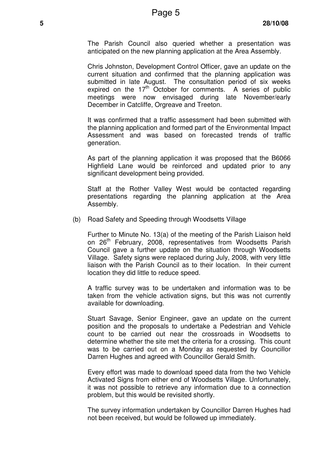The Parish Council also queried whether a presentation was anticipated on the new planning application at the Area Assembly.

 Chris Johnston, Development Control Officer, gave an update on the current situation and confirmed that the planning application was submitted in late August. The consultation period of six weeks expired on the  $17<sup>th</sup>$  October for comments. A series of public meetings were now envisaged during late November/early December in Catcliffe, Orgreave and Treeton.

 It was confirmed that a traffic assessment had been submitted with the planning application and formed part of the Environmental Impact Assessment and was based on forecasted trends of traffic generation.

 As part of the planning application it was proposed that the B6066 Highfield Lane would be reinforced and updated prior to any significant development being provided.

 Staff at the Rother Valley West would be contacted regarding presentations regarding the planning application at the Area Assembly.

(b) Road Safety and Speeding through Woodsetts Village

 Further to Minute No. 13(a) of the meeting of the Parish Liaison held on 26<sup>th</sup> February, 2008, representatives from Woodsetts Parish Council gave a further update on the situation through Woodsetts Village. Safety signs were replaced during July, 2008, with very little liaison with the Parish Council as to their location. In their current location they did little to reduce speed.

 A traffic survey was to be undertaken and information was to be taken from the vehicle activation signs, but this was not currently available for downloading.

Stuart Savage, Senior Engineer, gave an update on the current position and the proposals to undertake a Pedestrian and Vehicle count to be carried out near the crossroads in Woodsetts to determine whether the site met the criteria for a crossing. This count was to be carried out on a Monday as requested by Councillor Darren Hughes and agreed with Councillor Gerald Smith.

Every effort was made to download speed data from the two Vehicle Activated Signs from either end of Woodsetts Village. Unfortunately, it was not possible to retrieve any information due to a connection problem, but this would be revisited shortly.

The survey information undertaken by Councillor Darren Hughes had not been received, but would be followed up immediately.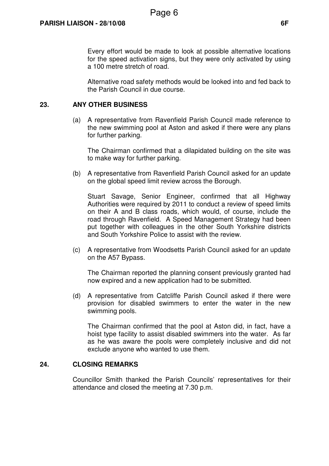Every effort would be made to look at possible alternative locations for the speed activation signs, but they were only activated by using a 100 metre stretch of road.

Alternative road safety methods would be looked into and fed back to the Parish Council in due course.

### **23. ANY OTHER BUSINESS**

 (a) A representative from Ravenfield Parish Council made reference to the new swimming pool at Aston and asked if there were any plans for further parking.

 The Chairman confirmed that a dilapidated building on the site was to make way for further parking.

(b) A representative from Ravenfield Parish Council asked for an update on the global speed limit review across the Borough.

 Stuart Savage, Senior Engineer, confirmed that all Highway Authorities were required by 2011 to conduct a review of speed limits on their A and B class roads, which would, of course, include the road through Ravenfield. A Speed Management Strategy had been put together with colleagues in the other South Yorkshire districts and South Yorkshire Police to assist with the review.

(c) A representative from Woodsetts Parish Council asked for an update on the A57 Bypass.

 The Chairman reported the planning consent previously granted had now expired and a new application had to be submitted.

(d) A representative from Catcliffe Parish Council asked if there were provision for disabled swimmers to enter the water in the new swimming pools.

 The Chairman confirmed that the pool at Aston did, in fact, have a hoist type facility to assist disabled swimmers into the water. As far as he was aware the pools were completely inclusive and did not exclude anyone who wanted to use them.

### **24. CLOSING REMARKS**

 Councillor Smith thanked the Parish Councils' representatives for their attendance and closed the meeting at 7.30 p.m.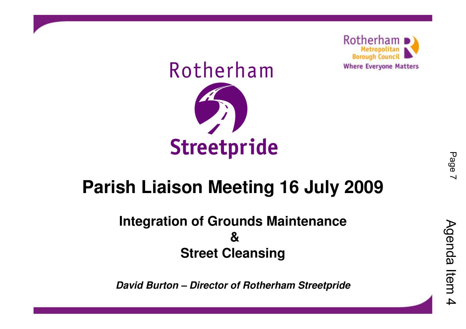

# Rotherham

# **Streetpride**

# **Parish Liaison Meeting 16 July 2009**

### **Integration of Grounds Maintenance& Street Cleansing**

**David Burton – Director of Rotherham Streetpride**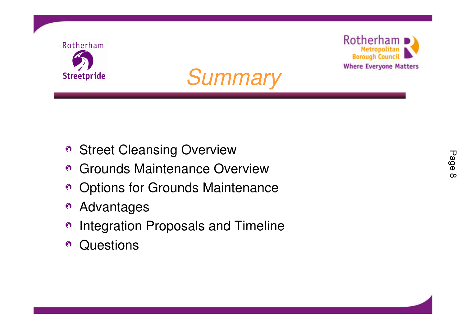





- **Street Cleansing Overview**
- **6** Grounds Maintenance Overview
- Options for Grounds Maintenance
- Advantages $\Omega$
- Integration Proposals and Timeline $\odot$
- **Questions**  $\bullet$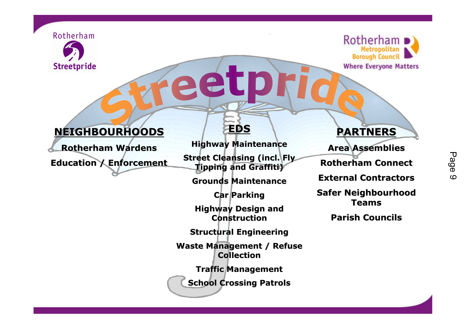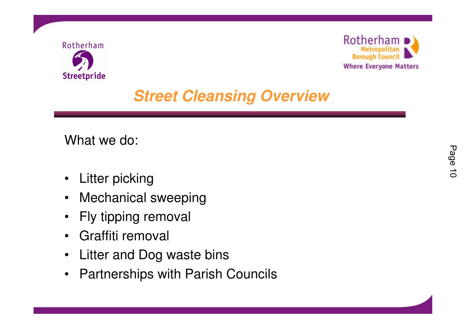



# **Street Cleansing Overview**

What we do:

- $\bullet$ Litter picking
- •Mechanical sweeping
- $\bullet$ Fly tipping removal
- Graffiti removal
- $\bullet$ Litter and Dog waste bins
- $\bullet$ Partnerships with Parish Councils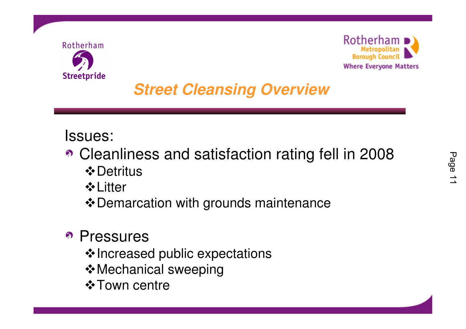



# **Street Cleansing Overview**

## Issues:

- Cleanliness and satisfaction rating fell in 2008 **☆** Detritus
	- **↓ Litter**
	- Demarcation with grounds maintenance

# • Pressures

- $\boldsymbol{\div}$  Increased public expectations
- **Mechanical sweeping**
- $\div$ **Town centre**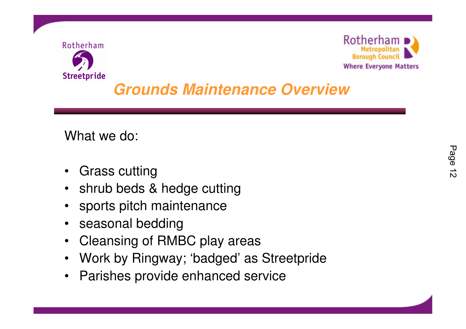



# **Grounds Maintenance Overview**

What we do:

- $\bullet$ Grass cutting
- shrub beds & hedge cutting•
- •sports pitch maintenance
- •seasonal bedding
- Cleansing of RMBC play areas $\bullet$
- Work by Ringway; 'badged' as Streetpride $\bullet$
- $\bullet$ Parishes provide enhanced service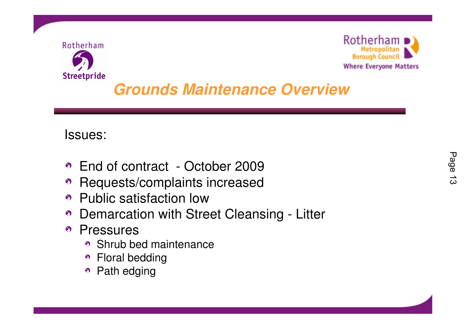



# **Grounds Maintenance Overview**

### Issues:

- End of contract October 2009
- Requests/complaints increased
- Public satisfaction low
- Demarcation with Street Cleansing Litter
- Pressures
	- Shrub bed maintenance
	- Floral bedding
	- Path edging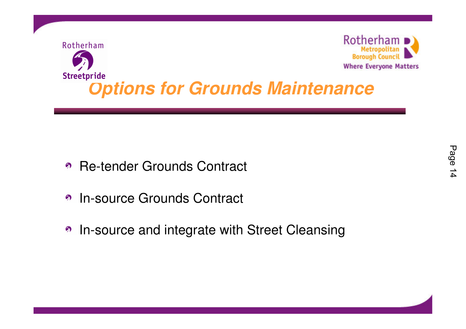

- Re-tender Grounds Contract
- In-source Grounds Contract $\Omega$
- In-source and integrate with Street Cleansing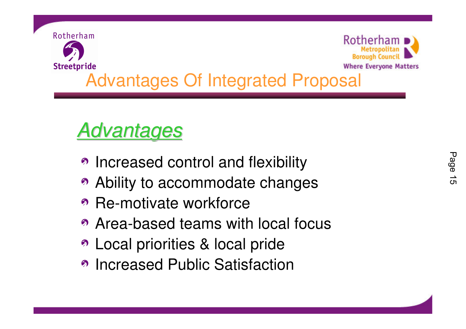

# Advantages

- Increased control and flexibility
- Ability to accommodate changes
- Re-motivate workforce
- Area-based teams with local focus
- Local priorities & local pride
- Increased Public Satisfaction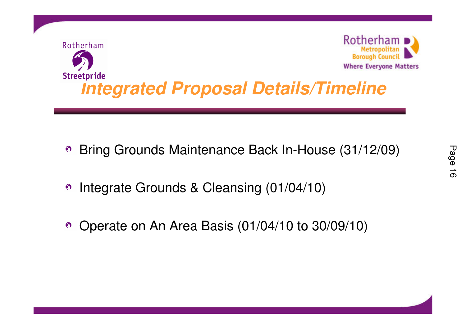![](_page_16_Picture_0.jpeg)

- Bring Grounds Maintenance Back In-House (31/12/09) $\odot$
- Integrate Grounds & Cleansing (01/04/10) $\odot$
- Operate on An Area Basis (01/04/10 to 30/09/10)